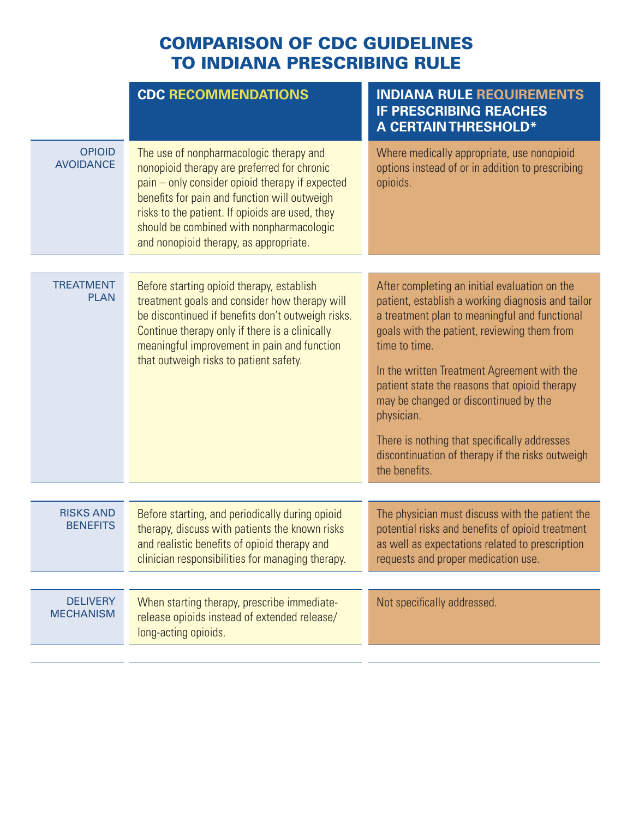## COMPARISON OF CDC GUIDELINES TO INDIANA PRESCRIBING RULE

| <b>CDC RECOMMENDATIONS</b>                                                                                                                                                                                                                                                                                                         | <b>INDIANA RULE REQUIREMENTS</b><br><b>IF PRESCRIBING REACHES</b><br><b>A CERTAIN THRESHOLD*</b>                                                                                              |
|------------------------------------------------------------------------------------------------------------------------------------------------------------------------------------------------------------------------------------------------------------------------------------------------------------------------------------|-----------------------------------------------------------------------------------------------------------------------------------------------------------------------------------------------|
| The use of nonpharmacologic therapy and<br>nonopioid therapy are preferred for chronic<br>pain – only consider opioid therapy if expected<br>benefits for pain and function will outweigh<br>risks to the patient. If opioids are used, they<br>should be combined with nonpharmacologic<br>and nonopioid therapy, as appropriate. | Where medically appropriate, use nonopioid<br>options instead of or in addition to prescribing<br>opioids.                                                                                    |
|                                                                                                                                                                                                                                                                                                                                    | After completing an initial evaluation on the                                                                                                                                                 |
| treatment goals and consider how therapy will<br>be discontinued if benefits don't outweigh risks.<br>Continue therapy only if there is a clinically<br>meaningful improvement in pain and function<br>that outweigh risks to patient safety.                                                                                      | patient, establish a working diagnosis and tailor<br>a treatment plan to meaningful and functional<br>goals with the patient, reviewing them from<br>time to time.                            |
|                                                                                                                                                                                                                                                                                                                                    | In the written Treatment Agreement with the<br>patient state the reasons that opioid therapy<br>may be changed or discontinued by the<br>physician.                                           |
|                                                                                                                                                                                                                                                                                                                                    | There is nothing that specifically addresses<br>discontinuation of therapy if the risks outweigh<br>the benefits.                                                                             |
|                                                                                                                                                                                                                                                                                                                                    |                                                                                                                                                                                               |
| Before starting, and periodically during opioid<br>therapy, discuss with patients the known risks<br>and realistic benefits of opioid therapy and<br>clinician responsibilities for managing therapy.                                                                                                                              | The physician must discuss with the patient the<br>potential risks and benefits of opioid treatment<br>as well as expectations related to prescription<br>requests and proper medication use. |
|                                                                                                                                                                                                                                                                                                                                    |                                                                                                                                                                                               |
| When starting therapy, prescribe immediate-<br>release opioids instead of extended release/<br>long-acting opioids.                                                                                                                                                                                                                | Not specifically addressed.                                                                                                                                                                   |
|                                                                                                                                                                                                                                                                                                                                    | Before starting opioid therapy, establish                                                                                                                                                     |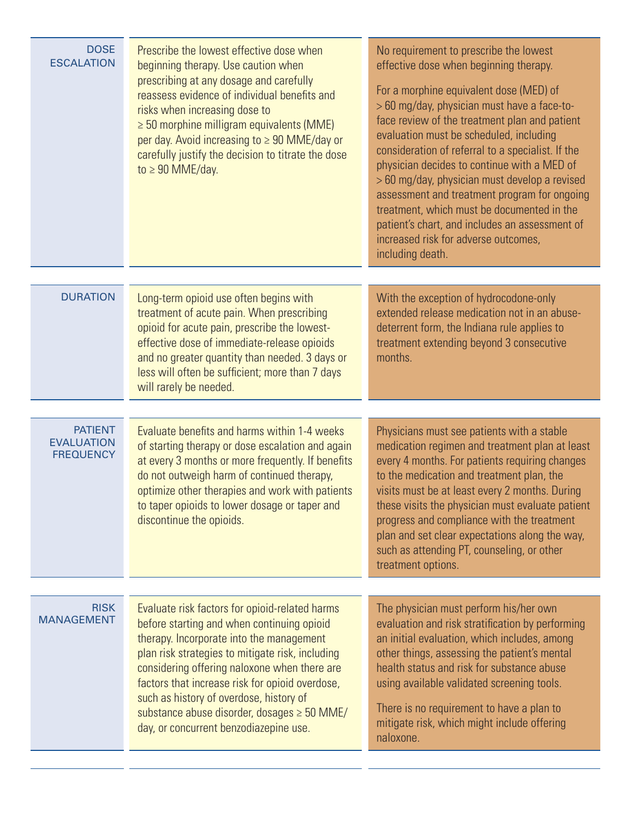| <b>DOSE</b><br><b>ESCALATION</b>                        | Prescribe the lowest effective dose when<br>beginning therapy. Use caution when<br>prescribing at any dosage and carefully<br>reassess evidence of individual benefits and<br>risks when increasing dose to<br>$\geq$ 50 morphine milligram equivalents (MME)<br>per day. Avoid increasing to $\geq 90$ MME/day or<br>carefully justify the decision to titrate the dose<br>to $\geq 90$ MME/day.                                        | No requirement to prescribe the lowest<br>effective dose when beginning therapy.<br>For a morphine equivalent dose (MED) of<br>> 60 mg/day, physician must have a face-to-<br>face review of the treatment plan and patient<br>evaluation must be scheduled, including<br>consideration of referral to a specialist. If the<br>physician decides to continue with a MED of<br>> 60 mg/day, physician must develop a revised<br>assessment and treatment program for ongoing<br>treatment, which must be documented in the<br>patient's chart, and includes an assessment of<br>increased risk for adverse outcomes,<br>including death. |
|---------------------------------------------------------|------------------------------------------------------------------------------------------------------------------------------------------------------------------------------------------------------------------------------------------------------------------------------------------------------------------------------------------------------------------------------------------------------------------------------------------|-----------------------------------------------------------------------------------------------------------------------------------------------------------------------------------------------------------------------------------------------------------------------------------------------------------------------------------------------------------------------------------------------------------------------------------------------------------------------------------------------------------------------------------------------------------------------------------------------------------------------------------------|
| <b>DURATION</b>                                         | Long-term opioid use often begins with<br>treatment of acute pain. When prescribing<br>opioid for acute pain, prescribe the lowest-<br>effective dose of immediate-release opioids<br>and no greater quantity than needed. 3 days or<br>less will often be sufficient; more than 7 days<br>will rarely be needed.                                                                                                                        | With the exception of hydrocodone-only<br>extended release medication not in an abuse-<br>deterrent form, the Indiana rule applies to<br>treatment extending beyond 3 consecutive<br>months.                                                                                                                                                                                                                                                                                                                                                                                                                                            |
| <b>PATIENT</b><br><b>EVALUATION</b><br><b>FREQUENCY</b> | Evaluate benefits and harms within 1-4 weeks<br>of starting therapy or dose escalation and again<br>at every 3 months or more frequently. If benefits<br>do not outweigh harm of continued therapy,<br>optimize other therapies and work with patients<br>to taper opioids to lower dosage or taper and<br>discontinue the opioids.                                                                                                      | Physicians must see patients with a stable<br>medication regimen and treatment plan at least<br>every 4 months. For patients requiring changes<br>to the medication and treatment plan, the<br>visits must be at least every 2 months. During<br>these visits the physician must evaluate patient<br>progress and compliance with the treatment<br>plan and set clear expectations along the way,<br>such as attending PT, counseling, or other<br>treatment options.                                                                                                                                                                   |
| <b>RISK</b><br><b>MANAGEMENT</b>                        | Evaluate risk factors for opioid-related harms<br>before starting and when continuing opioid<br>therapy. Incorporate into the management<br>plan risk strategies to mitigate risk, including<br>considering offering naloxone when there are<br>factors that increase risk for opioid overdose,<br>such as history of overdose, history of<br>substance abuse disorder, dosages $\geq$ 50 MME/<br>day, or concurrent benzodiazepine use. | The physician must perform his/her own<br>evaluation and risk stratification by performing<br>an initial evaluation, which includes, among<br>other things, assessing the patient's mental<br>health status and risk for substance abuse<br>using available validated screening tools.<br>There is no requirement to have a plan to<br>mitigate risk, which might include offering<br>naloxone.                                                                                                                                                                                                                                         |